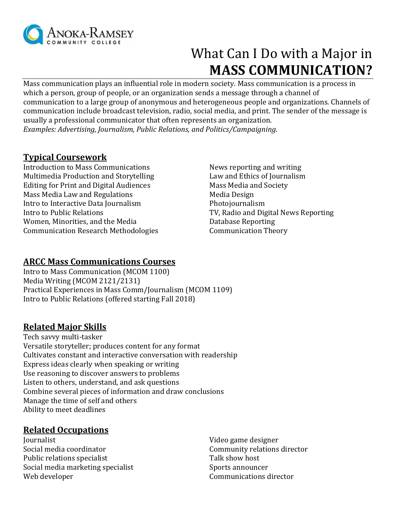

# What Can I Do with a Major in **MASS COMMUNICATION?**

Mass communication plays an influential role in modern society. Mass communication is a process in which a person, group of people, or an organization sends a message through a channel of communication to a large group of anonymous and heterogeneous people and organizations. Channels of communication include broadcast television, radio, social media, and print. The sender of the message is usually a professional communicator that often represents an organization. *Examples: Advertising, Journalism, Public Relations, and Politics/Campaigning.* 

# **Typical Coursework**

Introduction to Mass Communications News reporting and writing Multimedia Production and Storytelling Law and Ethics of Journalism Editing for Print and Digital Audiences Mass Media and Society Mass Media Law and Regulations Media Design Intro to Interactive Data Journalism Photojournalism Intro to Public Relations TV, Radio and Digital News Reporting Women, Minorities, and the Media New York and Database Reporting Communication Research Methodologies Communication Theory

### **ARCC Mass Communications Courses**

Intro to Mass Communication (MCOM 1100) Media Writing (MCOM 2121/2131) Practical Experiences in Mass Comm/Journalism (MCOM 1109) Intro to Public Relations (offered starting Fall 2018)

#### **Related Major Skills**

Tech savvy multi-tasker Versatile storyteller; produces content for any format Cultivates constant and interactive conversation with readership Express ideas clearly when speaking or writing Use reasoning to discover answers to problems Listen to others, understand, and ask questions Combine several pieces of information and draw conclusions Manage the time of self and others Ability to meet deadlines

#### **Related Occupations**

Journalist Social media coordinator Public relations specialist Social media marketing specialist Web developer

Video game designer Community relations director Talk show host Sports announcer Communications director